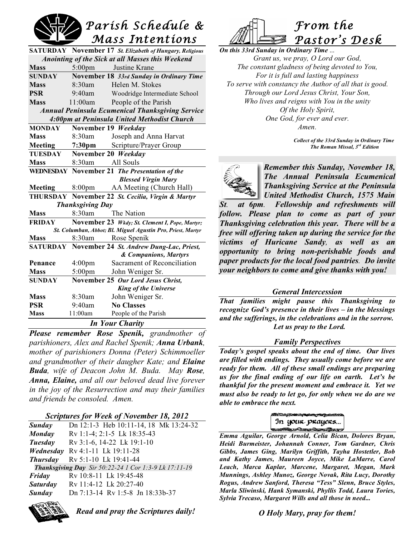

| <b>SATURDAY</b> November 17 St. Elizabeth of Hungary, Religious |                       |  |  |  |
|-----------------------------------------------------------------|-----------------------|--|--|--|
| Anointing of the Sick at all Masses this Weekend                |                       |  |  |  |
| Justine Krane<br><b>Mass</b><br>$5:00 \text{pm}$                |                       |  |  |  |
| November 18 33rd Sunday in Ordinary Time<br><b>SUNDAY</b>       |                       |  |  |  |
| 8:30am<br>Helen M. Stokes<br><b>Mass</b>                        |                       |  |  |  |
| <b>PSR</b><br>$9:40$ am<br>Woodridge Intermediate School        |                       |  |  |  |
| <b>Mass</b><br>11:00am<br>People of the Parish                  |                       |  |  |  |
| <b>Annual Peninsula Ecumenical Thanksgiving Service</b>         |                       |  |  |  |
| 4:00pm at Peninsula United Methodist Church                     |                       |  |  |  |
| <b>MONDAY</b><br>November 19 Weekday                            |                       |  |  |  |
| 8:30am<br>Joseph and Anna Harvat<br><b>Mass</b>                 |                       |  |  |  |
| 7:30 <sub>pm</sub><br>Scripture/Prayer Group<br>Meeting         |                       |  |  |  |
| TUESDAY<br>November 20 Weekday                                  |                       |  |  |  |
| 8:30am<br>All Souls<br><b>Mass</b>                              |                       |  |  |  |
| WEDNESDAY November 21 The Presentation of the                   |                       |  |  |  |
| <b>Blessed Virgin Mary</b>                                      |                       |  |  |  |
| AA Meeting (Church Hall)<br>8:00 <sub>pm</sub><br>Meeting       |                       |  |  |  |
| THURSDAY November 22 St. Cecilia, Virgin & Martyr               |                       |  |  |  |
| <b>Thanksgiving Day</b>                                         |                       |  |  |  |
| $8:30$ am<br>The Nation<br><b>Mass</b>                          |                       |  |  |  |
| <b>FRIDAY</b><br>November 23 Wkdy; St. Clement I, Pope, Martyr; |                       |  |  |  |
| St. Columban, Abbot; Bl. Miguel Agustin Pro, Priest, Martyr     |                       |  |  |  |
| <b>Mass</b><br>8:30am<br>Rose Spenik                            |                       |  |  |  |
| November 24 St. Andrew Dung-Lac, Priest,<br>SATURDAY            |                       |  |  |  |
|                                                                 | & Companions, Martyrs |  |  |  |
| Sacrament of Reconciliation<br>Penance<br>$4:00 \text{pm}$      |                       |  |  |  |
| $5:00 \text{pm}$<br><b>Mass</b><br>John Weniger Sr.             |                       |  |  |  |
| November 25 Our Lord Jesus Christ,<br><b>SUNDAY</b>             |                       |  |  |  |
| <b>King of the Universe</b>                                     |                       |  |  |  |
| 8:30am<br>John Weniger Sr.<br><b>Mass</b>                       |                       |  |  |  |
| <b>PSR</b><br>9:40am<br><b>No Classes</b>                       |                       |  |  |  |
| <b>Mass</b><br>11:00am<br>People of the Parish                  |                       |  |  |  |
| <b>In Your Charity</b>                                          |                       |  |  |  |

*Please remember Rose Spenik, grandmother of parishioners, Alex and Rachel Spenik; Anna Urbank, mother of parishioners Donna (Peter) Schimmoeller and grandmother of their daugher Kate; and Elaine Buda, wife of Deacon John M. Buda. May Rose, Anna, Elaine, and all our beloved dead live forever in the joy of the Resurrection and may their families and friends be consoled. Amen.*

#### *Scriptures for Week of November 18, 2012*

| Sunday          | Dn 12:1-3 Heb 10:11-14, 18 Mk 13:24-32                       |
|-----------------|--------------------------------------------------------------|
| Monday          | Rv 1:1-4; 2:1-5 Lk 18:35-43                                  |
| Tuesday         | Rv 3:1-6, 14-22 Lk 19:1-10                                   |
|                 | <i>Wednesday</i> Ry 4:1-11 Lk 19:11-28                       |
| <b>Thursday</b> | Rv 5:1-10 Lk 19:41-44                                        |
|                 | <b>Thanksgiving Day</b> Sir 50:22-24 1 Cor 1:3-9 Lk 17:11-19 |
| Friday          | Rv 10:8-11 Lk 19:45-48                                       |
| <b>Saturday</b> | Rv 11:4-12 Lk 20:27-40                                       |
| Sunday          | Dn 7:13-14 Rv 1:5-8 Jn 18:33b-37                             |
|                 |                                                              |



*Read and pray the Scriptures daily!*



*On this 33rd Sunday in Ordinary Time* ... *Grant us, we pray, O Lord our God, The constant gladness of being devoted to You, For it is full and lasting happiness To serve with constancy the Author of all that is good. Through our Lord Jesus Christ, Your Son, Who lives and reigns with You in the unity Of the Holy Spirit, One God, for ever and ever. Amen.*

> *Collect of the 33rd Sunday in Ordinary Time The Roman Missal, 3rd Edition*



*Remember this Sunday, November 18, The Annual Peninsula Ecumenical Thanksgiving Service at the Peninsula United Methodist Church, 1575 Main*

*St. at 6pm. Fellowship and refreshments will follow. Please plan to come as part of your Thanksgiving celebration this year. There will be a free will offering taken up during the service for the victims of Huricane Sandy, as well as an opportunity to bring non-perishable foods and paper products for the local food pantries. Do invite your neighbors to come and give thanks with you!*

#### *General Intercession*

*That families might pause this Thanksgiving to recognize God's presence in their lives – in the blessings and the sufferings, in the celebrations and in the sorrow. Let us pray to the Lord.*

### *Family Perspectives*

*Today's gospel speaks about the end of time. Our lives are filled with endings. They usually come before we are ready for them. All of these small endings are preparing us for the final ending of our life on earth. Let's be thankful for the present moment and embrace it. Yet we must also be ready to let go, for only when we do are we able to embrace the next.*

| In your prayers                                                                                               |
|---------------------------------------------------------------------------------------------------------------|
| South the South of the South of the South of the South of the South of the South of the South of the South of |

 *Emma Aguilar, George Arnold, Celia Bican, Dolores Bryan, Heidi Burmeister, Johannah Conner, Tom Gardner, Chris Gibbs, James Ging, Marilyn Griffith, Tayha Hostetler, Bob and Kathy James, Maureen Joyce, Mike LaMarre, Carol Leach, Marca Kaplar, Marcene, Margaret, Megan, Mark Munnings, Ashley Munoz, George Novak, Rita Lucy, Dorothy Rogus, Andrew Sanford, Theresa "Tess" Slenn, Bruce Styles, Marla Sliwinski, Hank Symanski, Phyllis Todd, Laura Tories, Sylvia Trecaso, Margaret Wills and all those in need...*

### *O Holy Mary, pray for them!*